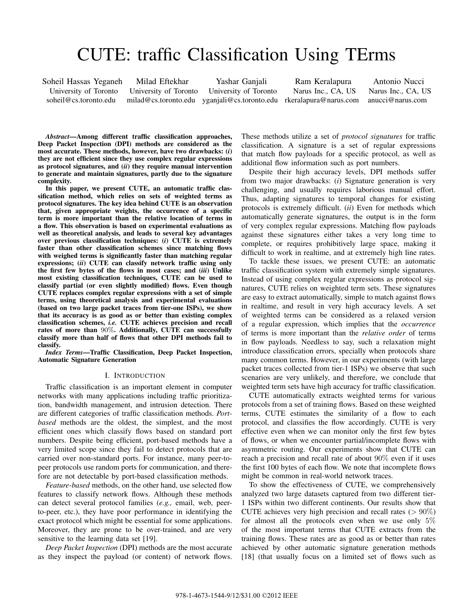# CUTE: traffic Classification Using TErms

Soheil Hassas Yeganeh University of Toronto soheil@cs.toronto.edu

Milad Eftekhar University of Toronto

Yashar Ganjali University of Toronto

milad@cs.toronto.edu yganjali@cs.toronto.edu rkeralapura@narus.com Ram Keralapura Narus Inc., CA, US

Antonio Nucci Narus Inc., CA, US anucci@narus.com

*Abstract*—Among different traffic classification approaches, Deep Packet Inspection (DPI) methods are considered as the most accurate. These methods, however, have two drawbacks: (*i*) they are not efficient since they use complex regular expressions as protocol signatures, and (*ii*) they require manual intervention to generate and maintain signatures, partly due to the signature complexity.

In this paper, we present CUTE, an automatic traffic classification method, which relies on sets of weighted terms as protocol signatures. The key idea behind CUTE is an observation that, given appropriate weights, the occurrence of a specific term is more important than the relative location of terms in a flow. This observation is based on experimental evaluations as well as theoretical analysis, and leads to several key advantages over previous classification techniques: (*i*) CUTE is extremely faster than other classification schemes since matching flows with weighed terms is significantly faster than matching regular expressions; (*ii*) CUTE can classify network traffic using only the first few bytes of the flows in most cases; and (*iii*) Unlike most existing classification techniques, CUTE can be used to classify partial (or even slightly modified) flows. Even though CUTE replaces complex regular expressions with a set of simple terms, using theoretical analysis and experimental evaluations (based on two large packet traces from tier-one ISPs), we show that its accuracy is as good as or better than existing complex classification schemes, *i.e.* CUTE achieves precision and recall rates of more than 90%. Additionally, CUTE can successfully classify more than half of flows that other DPI methods fail to classify.

*Index Terms*—Traffic Classification, Deep Packet Inspection, Automatic Signature Generation

## I. INTRODUCTION

Traffic classification is an important element in computer networks with many applications including traffic prioritization, bandwidth management, and intrusion detection. There are different categories of traffic classification methods. *Portbased* methods are the oldest, the simplest, and the most efficient ones which classify flows based on standard port numbers. Despite being efficient, port-based methods have a very limited scope since they fail to detect protocols that are carried over non-standard ports. For instance, many peer-topeer protocols use random ports for communication, and therefore are not detectable by port-based classification methods.

*Feature-based* methods, on the other hand, use selected flow features to classify network flows. Although these methods can detect several protocol families (*e.g.,* email, web, peerto-peer, etc.), they have poor performance in identifying the exact protocol which might be essential for some applications. Moreover, they are prone to be over-trained, and are very sensitive to the learning data set [19].

*Deep Packet Inspection* (DPI) methods are the most accurate as they inspect the payload (or content) of network flows. These methods utilize a set of *protocol signatures* for traffic classification. A signature is a set of regular expressions that match flow payloads for a specific protocol, as well as additional flow information such as port numbers.

Despite their high accuracy levels, DPI methods suffer from two major drawbacks: (*i*) Signature generation is very challenging, and usually requires laborious manual effort. Thus, adapting signatures to temporal changes for existing protocols is extremely difficult. (*ii*) Even for methods which automatically generate signatures, the output is in the form of very complex regular expressions. Matching flow payloads against these signatures either takes a very long time to complete, or requires prohibitively large space, making it difficult to work in realtime, and at extremely high line rates.

To tackle these issues, we present CUTE: an automatic traffic classification system with extremely simple signatures. Instead of using complex regular expressions as protocol signatures, CUTE relies on weighted term sets. These signatures are easy to extract automatically, simple to match against flows in realtime, and result in very high accuracy levels. A set of weighted terms can be considered as a relaxed version of a regular expression, which implies that the *occurrence* of terms is more important than the *relative order* of terms in flow payloads. Needless to say, such a relaxation might introduce classification errors, specially when protocols share many common terms. However, in our experiments (with large packet traces collected from tier-1 ISPs) we observe that such scenarios are very unlikely, and therefore, we conclude that weighted term sets have high accuracy for traffic classification.

CUTE automatically extracts weighted terms for various protocols from a set of training flows. Based on these weighted terms, CUTE estimates the similarity of a flow to each protocol, and classifies the flow accordingly. CUTE is very effective even when we can monitor only the first few bytes of flows, or when we encounter partial/incomplete flows with asymmetric routing. Our experiments show that CUTE can reach a precision and recall rate of about 90% even if it uses the first 100 bytes of each flow. We note that incomplete flows might be common in real-world network traces.

To show the effectiveness of CUTE, we comprehensively analyzed two large datasets captured from two different tier-1 ISPs within two different continents. Our results show that CUTE achieves very high precision and recall rates (*>* 90%) for almost all the protocols even when we use only 5% of the most important terms that CUTE extracts from the training flows. These rates are as good as or better than rates achieved by other automatic signature generation methods [18] (that usually focus on a limited set of flows such as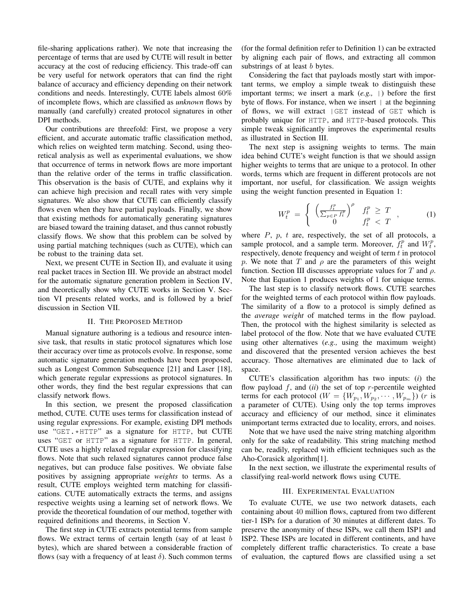file-sharing applications rather). We note that increasing the percentage of terms that are used by CUTE will result in better accuracy at the cost of reducing efficiency. This trade-off can be very useful for network operators that can find the right balance of accuracy and efficiency depending on their network conditions and needs. Interestingly, CUTE labels almost 60% of incomplete flows, which are classified as *unknown* flows by manually (and carefully) created protocol signatures in other DPI methods.

Our contributions are threefold: First, we propose a very efficient, and accurate automatic traffic classification method, which relies on weighted term matching. Second, using theoretical analysis as well as experimental evaluations, we show that occurrence of terms in network flows are more important than the relative order of the terms in traffic classification. This observation is the basis of CUTE, and explains why it can achieve high precision and recall rates with very simple signatures. We also show that CUTE can efficiently classify flows even when they have partial payloads. Finally, we show that existing methods for automatically generating signatures are biased toward the training dataset, and thus cannot robustly classify flows. We show that this problem can be solved by using partial matching techniques (such as CUTE), which can be robust to the training data set.

Next, we present CUTE in Section II), and evaluate it using real packet traces in Section III. We provide an abstract model for the automatic signature generation problem in Section IV, and theoretically show why CUTE works in Section V. Section VI presents related works, and is followed by a brief discussion in Section VII.

#### II. THE PROPOSED METHOD

Manual signature authoring is a tedious and resource intensive task, that results in static protocol signatures which lose their accuracy over time as protocols evolve. In response, some automatic signature generation methods have been proposed, such as Longest Common Subsequence [21] and Laser [18], which generate regular expressions as protocol signatures. In other words, they find the best regular expressions that can classify network flows.

In this section, we present the proposed classification method, CUTE. CUTE uses terms for classification instead of using regular expressions. For example, existing DPI methods use "GET.\*HTTP" as a signature for HTTP, but CUTE uses "GET or HTTP" as a signature for HTTP. In general, CUTE uses a highly relaxed regular expression for classifying flows. Note that such relaxed signatures cannot produce false negatives, but can produce false positives. We obviate false positives by assigning appropriate *weights* to terms. As a result, CUTE employs weighted term matching for classifications. CUTE automatically extracts the terms, and assigns respective weights using a learning set of network flows. We provide the theoretical foundation of our method, together with required definitions and theorems, in Section V.

The first step in CUTE extracts potential terms from sample flows. We extract terms of certain length (say of at least *b* bytes), which are shared between a considerable fraction of flows (say with a frequency of at least *δ*). Such common terms (for the formal definition refer to Definition 1) can be extracted by aligning each pair of flows, and extracting all common substrings of at least *b* bytes.

Considering the fact that payloads mostly start with important terms, we employ a simple tweak to distinguish these important terms; we insert a mark (*e.g.,* |) before the first byte of flows. For instance, when we insert | at the beginning of flows, we will extract |GET instead of GET which is probably unique for HTTP, and HTTP-based protocols. This simple tweak significantly improves the experimental results as illustrated in Section III.

The next step is assigning weights to terms. The main idea behind CUTE's weight function is that we should assign higher weights to terms that are unique to a protocol. In other words, terms which are frequent in different protocols are not important, nor useful, for classification. We assign weights using the weight function presented in Equation 1:

$$
W_t^p = \begin{cases} \left(\frac{f_t^p}{\sum_{p \in P} f_t^p}\right)^p & f_t^p \ge T \\ 0 & f_t^p & T \end{cases}, \tag{1}
$$

where *P*, *p*, *t* are, respectively, the set of all protocols, a sample protocol, and a sample term. Moreover,  $\hat{f}_t^p$  and  $W_t^p$ , respectively, denote frequency and weight of term *t* in protocol *p*. We note that *T* and  $\rho$  are the parameters of this weight function. Section III discusses appropriate values for *T* and *ρ*. Note that Equation 1 produces weights of 1 for unique terms.

The last step is to classify network flows. CUTE searches for the weighted terms of each protocol within flow payloads. The similarity of a flow to a protocol is simply defined as the *average weight* of matched terms in the flow payload. Then, the protocol with the highest similarity is selected as label protocol of the flow. Note that we have evaluated CUTE using other alternatives (*e.g.,* using the maximum weight) and discovered that the presented version achieves the best accuracy. Those alternatives are eliminated due to lack of space.

CUTE's classification algorithm has two inputs: (*i*) the flow payload *f*, and (*ii*) the set of top *r*-percentile weighted terms for each protocol ( $W = \{W_{p_1}, W_{p_2}, \dots, W_{p_m}\}$ ) (*r* is a parameter of CUTE). Using only the top terms improves accuracy and efficiency of our method, since it eliminates unimportant terms extracted due to locality, errors, and noises.

Note that we have used the naive string matching algorithm only for the sake of readability. This string matching method can be, readily, replaced with efficient techniques such as the Aho-Corasick algorithm[1].

In the next section, we illustrate the experimental results of classifying real-world network flows using CUTE.

## III. EXPERIMENTAL EVALUATION

To evaluate CUTE, we use two network datasets, each containing about 40 million flows, captured from two different tier-1 ISPs for a duration of 30 minutes at different dates. To preserve the anonymity of these ISPs, we call them ISP1 and ISP2. These ISPs are located in different continents, and have completely different traffic characteristics. To create a base of evaluation, the captured flows are classified using a set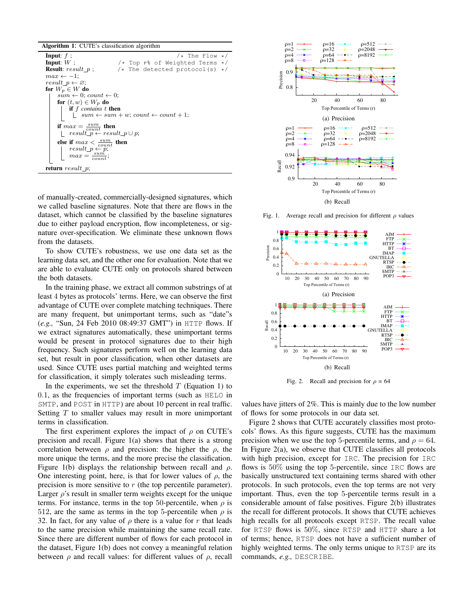Algorithm 1: CUTE's classification algorithm

| <b>Input</b> : $f$ ;<br>Input: $W$ :                                                                                          | $/*$ The Flow $*/$<br>$/\star$ Top $r$ % of Weighted Terms $\star$ / |
|-------------------------------------------------------------------------------------------------------------------------------|----------------------------------------------------------------------|
| <b>Result:</b> $result \ p$ ;                                                                                                 | $/*$ The detected protocol(s) */                                     |
| $max \leftarrow -1$ :                                                                                                         |                                                                      |
| $result\_p \leftarrow \varnothing;$                                                                                           |                                                                      |
| for $W_p \in W$ do                                                                                                            |                                                                      |
| $sum \leftarrow 0$ ; count $\leftarrow 0$ ;                                                                                   |                                                                      |
| for $(t, w) \in W_p$ do                                                                                                       |                                                                      |
| if $f$ contains $t$ then                                                                                                      | $\vert \quad sum \leftarrow sum + w; \, count \leftarrow count + 1;$ |
| if $max = \frac{sum}{count}$ then<br>$\mid$ $result\_p \leftarrow result\_p \cup p;$                                          |                                                                      |
| else if $max < \frac{sum}{count}$ then<br>$\begin{array}{ll} result\_p \leftarrow p; \\ max = \frac{sum}{count}; \end{array}$ |                                                                      |
| <b>return</b> result_p;                                                                                                       |                                                                      |

of manually-created, commercially-designed signatures, which we called baseline signatures. Note that there are flows in the dataset, which cannot be classified by the baseline signatures due to either payload encryption, flow incompleteness, or signature over-specification. We eliminate these unknown flows from the datasets.

To show CUTE's robustness, we use one data set as the learning data set, and the other one for evaluation. Note that we are able to evaluate CUTE only on protocols shared between the both datasets.

In the training phase, we extract all common substrings of at least 4 bytes as protocols' terms. Here, we can observe the first advantage of CUTE over complete matching techniques. There are many frequent, but unimportant terms, such as "date"s (*e.g.,* "Sun, 24 Feb 2010 08:49:37 GMT") in HTTP flows. If we extract signatures automatically, these unimportant terms would be present in protocol signatures due to their high frequency. Such signatures perform well on the learning data set, but result in poor classification, when other datasets are used. Since CUTE uses partial matching and weighted terms for classification, it simply tolerates such misleading terms.

In the experiments, we set the threshold  $T$  (Equation 1) to 0*.*1, as the frequencies of important terms (such as HELO in SMTP, and POST in HTTP) are about 10 percent in real traffic. Setting *T* to smaller values may result in more unimportant terms in classification.

The first experiment explores the impact of *ρ* on CUTE's precision and recall. Figure 1(a) shows that there is a strong correlation between  $\rho$  and precision: the higher the  $\rho$ , the more unique the terms, and the more precise the classification. Figure 1(b) displays the relationship between recall and *ρ*. One interesting point, here, is that for lower values of  $\rho$ , the precision is more sensitive to *r* (the top percentile parameter). Larger  $\rho$ 's result in smaller term weights except for the unique terms. For instance, terms in the top 50-percentile, when  $\rho$  is 512, are the same as terms in the top 5-percentile when  $\rho$  is 32. In fact, for any value of  $\rho$  there is a value for  $r$  that leads to the same precision while maintaining the same recall rate. Since there are different number of flows for each protocol in the dataset, Figure 1(b) does not convey a meaningful relation between  $\rho$  and recall values: for different values of  $\rho$ , recall



Fig. 1. Average recall and precision for different *ρ* values



Fig. 2. Recall and precision for  $\rho = 64$ 

values have jitters of 2%. This is mainly due to the low number of flows for some protocols in our data set.

Figure 2 shows that CUTE accurately classifies most protocols' flows. As this figure suggests, CUTE has the maximum precision when we use the top 5-percentile terms, and  $\rho = 64$ . In Figure 2(a), we observe that CUTE classifies all protocols with high precision, except for IRC. The precision for IRC flows is 50% using the top 5-percentile, since IRC flows are basically unstructured text containing terms shared with other protocols. In such protocols, even the top terms are not very important. Thus, even the top 5-percentile terms result in a considerable amount of false positives. Figure 2(b) illustrates the recall for different protocols. It shows that CUTE achieves high recalls for all protocols except RTSP. The recall value for RTSP flows is 50%, since RTSP and HTTP share a lot of terms; hence, RTSP does not have a sufficient number of highly weighted terms. The only terms unique to RTSP are its commands, *e.g.,* DESCRIBE.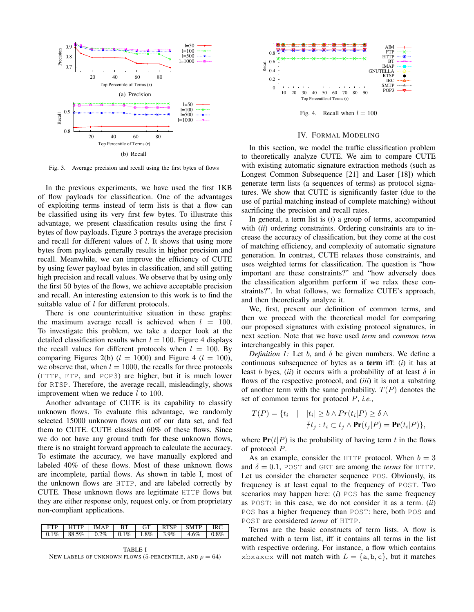

Fig. 3. Average precision and recall using the first bytes of flows

In the previous experiments, we have used the first 1KB of flow payloads for classification. One of the advantages of exploiting terms instead of term lists is that a flow can be classified using its very first few bytes. To illustrate this advantage, we present classification results using the first *l* bytes of flow payloads. Figure 3 portrays the average precision and recall for different values of *l*. It shows that using more bytes from payloads generally results in higher precision and recall. Meanwhile, we can improve the efficiency of CUTE by using fewer payload bytes in classification, and still getting high precision and recall values. We observe that by using only the first 50 bytes of the flows, we achieve acceptable precision and recall. An interesting extension to this work is to find the suitable value of *l* for different protocols.

There is one counterintuitive situation in these graphs: the maximum average recall is achieved when  $l = 100$ . To investigate this problem, we take a deeper look at the detailed classification results when  $l = 100$ . Figure 4 displays the recall values for different protocols when  $l = 100$ . By comparing Figures 2(b)  $(l = 1000)$  and Figure 4  $(l = 100)$ , we observe that, when  $l = 1000$ , the recalls for three protocols (HTTP, FTP, and POP3) are higher, but it is much lower for RTSP. Therefore, the average recall, misleadingly, shows improvement when we reduce *l* to 100.

Another advantage of CUTE is its capability to classify unknown flows. To evaluate this advantage, we randomly selected 15000 unknown flows out of our data set, and fed them to CUTE. CUTE classified 60% of these flows. Since we do not have any ground truth for these unknown flows, there is no straight forward approach to calculate the accuracy. To estimate the accuracy, we have manually explored and labeled 40% of these flows. Most of these unknown flows are incomplete, partial flows. As shown in table I, most of the unknown flows are HTTP, and are labeled correctly by CUTE. These unknown flows are legitimate HTTP flows but they are either response only, request only, or from proprietary non-compliant applications.

| FTP     | HTTP  | IMAP | BТ      | <b>GT</b> | <b>RTSP</b> | <b>SMTP</b> | IR ( |
|---------|-------|------|---------|-----------|-------------|-------------|------|
| $0.1\%$ | 88.5% | 0.2% | $0.1\%$ | $1.8\%$   | $3.9\%$     | 4.6%        |      |

TABLE I NEW LABELS OF UNKNOWN FLOWS (5-PERCENTILE, AND  $\rho = 64$ )



#### IV. FORMAL MODELING

In this section, we model the traffic classification problem to theoretically analyze CUTE. We aim to compare CUTE with existing automatic signature extraction methods (such as Longest Common Subsequence [21] and Laser [18]) which generate term lists (a sequences of terms) as protocol signatures. We show that CUTE is significantly faster (due to the use of partial matching instead of complete matching) without sacrificing the precision and recall rates.

In general, a term list is (*i*) a group of terms, accompanied with (*ii*) ordering constraints. Ordering constraints are to increase the accuracy of classification, but they come at the cost of matching efficiency, and complexity of automatic signature generation. In contrast, CUTE relaxes those constraints, and uses weighted terms for classification. The question is "how important are these constraints?" and "how adversely does the classification algorithm perform if we relax these constraints?". In what follows, we formalize CUTE's approach, and then theoretically analyze it.

We, first, present our definition of common terms, and then we proceed with the theoretical model for comparing our proposed signatures with existing protocol signatures, in next section. Note that we have used *term* and *common term* interchangeably in this paper.

*Definition 1:* Let *b*, and  $\delta$  be given numbers. We define a continuous subsequence of bytes as a term iff: (*i*) it has at least *b* byes, (*ii*) it occurs with a probability of at least  $\delta$  in flows of the respective protocol, and (*iii*) it is not a substring of another term with the same probability.  $T(P)$  denotes the set of common terms for protocol *P*, *i.e.*,

$$
T(P) = \{t_i \mid |t_i| \ge b \land Pr(t_i|P) \ge \delta \land
$$
  

$$
\#t_j : t_i \subset t_j \land \Pr(t_j|P) = \Pr(t_i|P)\},
$$

where  $Pr(t|P)$  is the probability of having term *t* in the flows of protocol *P*.

As an example, consider the HTTP protocol. When  $b = 3$ and  $\delta = 0.1$ , POST and GET are among the *terms* for HTTP. Let us consider the character sequence POS. Obviously, its frequency is at least equal to the frequency of POST. Two scenarios may happen here: (*i*) POS has the same frequency as POST: in this case, we do not consider it as a term. (*ii*) POS has a higher frequency than POST: here, both POS and POST are considered *terms* of HTTP.

Terms are the basic constructs of term lists. A flow is matched with a term list, iff it contains all terms in the list with respective ordering. For instance, a flow which contains xbxaxcx will not match with  $L = \{a, b, c\}$ , but it matches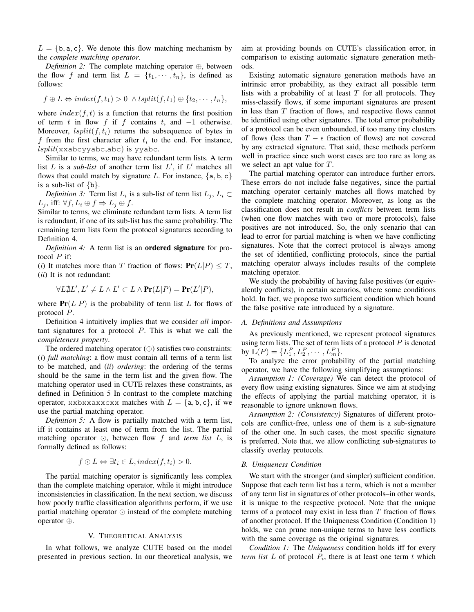$L = \{b, a, c\}$ . We denote this flow matching mechanism by the *complete matching operator*.

*Definition 2:* The complete matching operator *⊕*, between the flow f and term list  $L = \{t_1, \dots, t_n\}$ , is defined as follows:

$$
f \oplus L \Leftrightarrow index(f, t_1) > 0 \ \wedge lsplit(f, t_1) \oplus \{t_2, \cdots, t_n\},
$$

where  $index(f, t)$  is a function that returns the first position of term *t* in flow *f* if *f* contains *t*, and *−*1 otherwise. Moreover,  $lsplit(f, t_i)$  returns the subsequence of bytes in  $f$  from the first character after  $t_i$  to the end. For instance, *lsplit*(xxabcyyabc*,*abc) is yyabc.

Similar to terms, we may have redundant term lists. A term list *L* is a *sub-list* of another term list  $L'$ , if  $L'$  matches all flows that could match by signature *L*. For instance, *{*a*,* b*,* c*}* is a sub-list of *{*b*}*.

*Definition 3:* Term list  $L_i$  is a sub-list of term list  $L_j$ ,  $L_i \subset$ *L*<sup>*j*</sup>, iff:  $\forall f, L_i ⊕ f \Rightarrow L_j ⊕ f$ .

Similar to terms, we eliminate redundant term lists. A term list is redundant, if one of its sub-list has the same probability. The remaining term lists form the protocol signatures according to Definition 4.

*Definition 4:* A term list is an ordered signature for protocol *P* if:

(*i*) It matches more than *T* fraction of flows:  $Pr(L|P) \leq T$ , (*ii*) It is not redundant:

$$
\forall L \nexists L', L' \neq L \land L' \subset L \land \mathbf{Pr}(L|P) = \mathbf{Pr}(L'|P),
$$

where  $Pr(L|P)$  is the probability of term list L for flows of protocol *P*.

Definition 4 intuitively implies that we consider *all* important signatures for a protocol *P*. This is what we call the *completeness property*.

The ordered matching operator (*⊕*) satisfies two constraints: (*i*) *full matching*: a flow must contain all terms of a term list to be matched, and (*ii*) *ordering*: the ordering of the terms should be the same in the term list and the given flow. The matching operator used in CUTE relaxes these constraints, as defined in Definition 5 In contrast to the complete matching operator, xxbxxaxxcxx matches with  $L = \{a, b, c\}$ , if we use the partial matching operator.

*Definition 5:* A flow is partially matched with a term list, iff it contains at least one of term from the list. The partial matching operator *⊙*, between flow *f* and *term list L*, is formally defined as follows:

$$
f \odot L \Leftrightarrow \exists t_i \in L, index(f, t_i) > 0.
$$

The partial matching operator is significantly less complex than the complete matching operator, while it might introduce inconsistencies in classification. In the next section, we discuss how poorly traffic classification algorithms perform, if we use partial matching operator *⊙* instead of the complete matching operator *⊕*.

### V. THEORETICAL ANALYSIS

In what follows, we analyze CUTE based on the model presented in previous section. In our theoretical analysis, we aim at providing bounds on CUTE's classification error, in comparison to existing automatic signature generation methods.

Existing automatic signature generation methods have an intrinsic error probability, as they extract all possible term lists with a probability of at least *T* for all protocols. They miss-classify flows, if some important signatures are present in less than *T* fraction of flows, and respective flows cannot be identified using other signatures. The total error probability of a protocol can be even unbounded, if too many tiny clusters of flows (less than  $T - \epsilon$  fraction of flows) are not covered by any extracted signature. That said, these methods perform well in practice since such worst cases are too rare as long as we select an apt value for *T*.

The partial matching operator can introduce further errors. These errors do not include false negatives, since the partial matching operator certainly matches all flows matched by the complete matching operator. Moreover, as long as the classification does not result in *conflicts* between term lists (when one flow matches with two or more protocols), false positives are not introduced. So, the only scenario that can lead to error for partial matching is when we have conflicting signatures. Note that the correct protocol is always among the set of identified, conflicting protocols, since the partial matching operator always includes results of the complete matching operator.

We study the probability of having false positives (or equivalently conflicts), in certain scenarios, where some conditions hold. In fact, we propose two sufficient condition which bound the false positive rate introduced by a signature.

# *A. Definitions and Assumptions*

As previously mentioned, we represent protocol signatures using term lists. The set of term lists of a protocol *P* is denoted  $\mathbf{b}$ **y**  $\mathbb{L}(P) = \{L_1^P, L_2^P, \cdots, L_m^P\}.$ 

To analyze the error probability of the partial matching operator, we have the following simplifying assumptions:

*Assumption 1: (Coverage)* We can detect the protocol of every flow using existing signatures. Since we aim at studying the effects of applying the partial matching operator, it is reasonable to ignore unknown flows.

*Assumption 2: (Consistency)* Signatures of different protocols are conflict-free, unless one of them is a sub-signature of the other one. In such cases, the most specific signature is preferred. Note that, we allow conflicting sub-signatures to classify overlay protocols.

#### *B. Uniqueness Condition*

We start with the stronger (and simpler) sufficient condition. Suppose that each term list has a term, which is not a member of any term list in signatures of other protocols–in other words, it is unique to the respective protocol. Note that the unique terms of a protocol may exist in less than *T* fraction of flows of another protocol. If the Uniqueness Condition (Condition 1) holds, we can prune non-unique terms to have less conflicts with the same coverage as the original signatures.

*Condition 1:* The *Uniqueness* condition holds iff for every *term list*  $L$  of protocol  $P_i$ , there is at least one term  $t$  which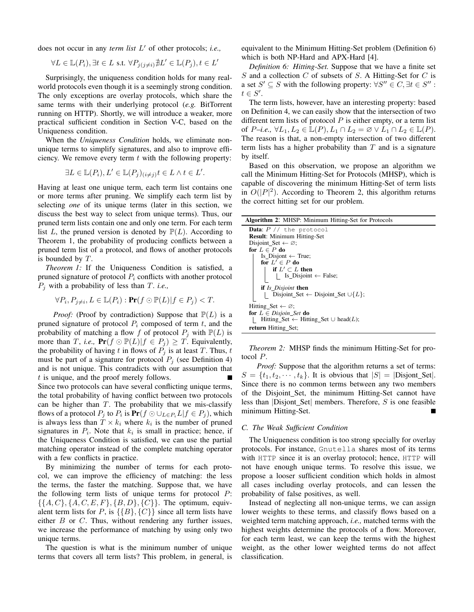does not occur in any *term list L ′* of other protocols; *i.e.,*

$$
\forall L \in \mathbb{L}(P_i), \exists t \in L \text{ s.t. } \forall P_{j(j \neq i)} \nexists L' \in \mathbb{L}(P_j), t \in L'
$$

Surprisingly, the uniqueness condition holds for many realworld protocols even though it is a seemingly strong condition. The only exceptions are overlay protocols, which share the same terms with their underlying protocol (*e.g.* BitTorrent running on HTTP). Shortly, we will introduce a weaker, more practical sufficient condition in Section V-C, based on the Uniqueness condition.

When the *Uniqueness Condition* holds, we eliminate nonunique terms to simplify signatures, and also to improve efficiency. We remove every term *t* with the following property:

$$
\exists L \in \mathbb{L}(P_i), L' \in \mathbb{L}(P_j)_{(i \neq j)} t \in L \land t \in L'.
$$

Having at least one unique term, each term list contains one or more terms after pruning. We simplify each term list by selecting *one* of its unique terms (later in this section, we discuss the best way to select from unique terms). Thus, our pruned term lists contain one and only one term. For each term list *L*, the pruned version is denoted by  $\mathbb{P}(L)$ . According to Theorem 1, the probability of producing conflicts between a pruned term list of a protocol, and flows of another protocols is bounded by *T*.

*Theorem 1:* If the Uniqueness Condition is satisfied, a pruned signature of protocol *P<sup>i</sup>* conflicts with another protocol *P<sup>j</sup>* with a probability of less than *T*. *i.e.,*

$$
\forall P_i, P_{j \neq i}, L \in \mathbb{L}(P_i) : \mathbf{Pr}(f \odot \mathbb{P}(L) | f \in P_j) < T.
$$

*Proof:* (Proof by contradiction) Suppose that  $\mathbb{P}(L)$  is a pruned signature of protocol *P<sup>i</sup>* composed of term *t*, and the probability of matching a flow f of protocol  $P_i$  with  $\mathbb{P}(L)$  is more than *T*, *i.e.*,  $\Pr(f \odot \mathbb{P}(L)|f \in P_i) \geq T$ . Equivalently, the probability of having *t* in flows of  $P_j$  is at least *T*. Thus, *t* must be part of a signature for protocol  $P_j$  (see Definition 4) and is not unique. This contradicts with our assumption that *t* is unique, and the proof merely follows. Since two protocols can have several conflicting unique terms, the total probability of having conflict between two protocols

can be higher than *T*. The probability that we mis-classify flows of a protocol  $P_j$  to  $P_i$  is  $\Pr(f \bigcirc \bigcup_{L \in P_i} L | f \in P_j)$ , which is always less than  $T \times k_i$  where  $k_i$  is the number of pruned signatures in  $P_i$ . Note that  $k_i$  is small in practice; hence, if the Uniqueness Condition is satisfied, we can use the partial matching operator instead of the complete matching operator with a few conflicts in practice.

By minimizing the number of terms for each protocol, we can improve the efficiency of matching: the less the terms, the faster the matching. Suppose that, we have the following term lists of unique terms for protocol *P*: *{{A, C}, {A, C, E, F}, {B, D}, {C}}*. The optimum, equivalent term lists for *P*, is  $\{\{B\}, \{C\}\}\$  since all term lists have either *B* or *C*. Thus, without rendering any further issues, we increase the performance of matching by using only two unique terms.

The question is what is the minimum number of unique terms that covers all term lists? This problem, in general, is equivalent to the Minimum Hitting-Set problem (Definition 6) which is both NP-Hard and APX-Hard [4].

*Definition 6: Hitting-Set.* Suppose that we have a finite set *S* and a collection *C* of subsets of *S*. A Hitting-Set for *C* is a set *S'* ⊆ *S* with the following property:  $\forall S'' \in C, \exists t \in S''$ : *t ∈ S ′* .

The term lists, however, have an interesting property: based on Definition 4, we can easily show that the intersection of two different term lists of protocol *P* is either empty, or a term list of *P*–*i.e.*,  $\forall L_1, L_2 \in \mathbb{L}(P), L_1 \cap L_2 = \emptyset \lor L_1 \cap L_2 \in \mathbb{L}(P).$ The reason is that, a non-empty intersection of two different term lists has a higher probability than *T* and is a signature by itself.

Based on this observation, we propose an algorithm we call the Minimum Hitting-Set for Protocols (MHSP), which is capable of discovering the minimum Hitting-Set of term lists in  $O(|P|^2)$ . According to Theorem 2, this algorithm returns the correct hitting set for our problem.

| <b>Algorithm 2:</b> MHSP: Minimum Hitting-Set for Protocols    |
|----------------------------------------------------------------|
| <b>Data:</b> $P$ // the protocol                               |
| <b>Result:</b> Minimum Hitting-Set                             |
| Disjoint_Set $\leftarrow \varnothing$ ;                        |
| for $L \in P$ do                                               |
| Is Disjont $\leftarrow$ True;                                  |
| for $L' \in P$ do                                              |
| <b>if</b> $L' \subset L$ <b>then</b><br>  Is_Disjoint ← False; |
|                                                                |
| <b>if</b> Is Disjoint then                                     |
| Disjoint_Set $\leftarrow$ Disjoint_Set $\cup \{L\};$           |
| Hitting Set $\leftarrow \varnothing$ ;                         |
| for $L \in Disjoin\_Set$ do                                    |
| Hitting Set $\leftarrow$ Hitting Set $\cup$ head( <i>L</i> );  |
| return Hitting_Set;                                            |

*Theorem 2:* MHSP finds the minimum Hitting-Set for protocol *P*.

*Proof:* Suppose that the algorithm returns a set of terms:  $S = \{t_1, t_2, \dots, t_k\}$ . It is obvious that  $|S| =$  *Disjont\_Set|*. Since there is no common terms between any two members of the Disjoint Set, the minimum Hitting-Set cannot have less than *|*Disjont Set*|* members. Therefore, *S* is one feasible minimum Hitting-Set.

#### *C. The Weak Sufficient Condition*

The Uniqueness condition is too strong specially for overlay protocols. For instance, Gnutella shares most of its terms with HTTP since it is an overlay protocol; hence, HTTP will not have enough unique terms. To resolve this issue, we propose a looser sufficient condition which holds in almost all cases including overlay protocols, and can lessen the probability of false positives, as well.

Instead of neglecting all non-unique terms, we can assign lower weights to these terms, and classify flows based on a weighted term matching approach, *i.e.,* matched terms with the highest weights determine the protocols of a flow. Moreover, for each term least, we can keep the terms with the highest weight, as the other lower weighted terms do not affect classification.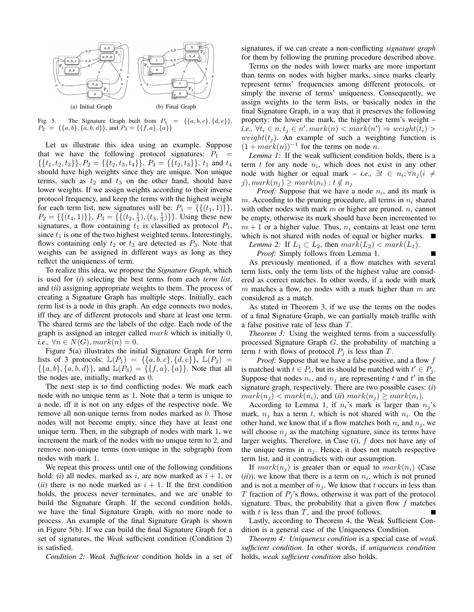

Fig. 5. The Signature Graph built from  $P_1 = \{ \{a, b, c\}, \{d, e\} \},\$ *P*<sup>2</sup> = *{{a, b}, {a, b, d}}*, and *P*<sup>3</sup> = *{{f, a}, {a}}*

Let us illustrate this idea using an example. Suppose that we have the following protocol signatures:  $P_1$ *{{t*1*, t*2*, t*3*}}, P*<sup>2</sup> = *{{t*2*, t*3*, t*4*}}, P*<sup>3</sup> = *{{t*2*, t*3*}}*. *t*<sup>1</sup> and *t*<sup>4</sup> should have high weights since they are unique. Non unique terms, such as  $t_2$  and  $t_3$  on the other hand, should have lower weights. If we assign weights according to their inverse protocol frequency, and keep the terms with the highest weight for each term list, new signatures will be:  $P_1 = \{ \{(t_1, 1)\} \},\$  $P_2 = \{\{(t_4, 1)\}\}\$ ,  $P_3 = \{\{(t_2, \frac{1}{3}), (t_3, \frac{1}{3})\}\}\$ . Using these new signatures, a flow containing  $t_1$  is classified as protocol  $P_1$ , since  $t_1$  is one of the two highest weighted terms. Interestingly, flows containing only  $t_2$  or  $t_3$  are detected as  $P_3$ . Note that weights can be assigned in different ways as long as they reflect the uniqueness of term.

To realize this idea, we propose the *Signature Graph*, which is used for (*i*) selecting the best terms from each *term list*, and (*ii*) assigning appropriate weights to them. The process of creating a Signature Graph has multiple steps. Initially, each *t*erm list is a node in this graph. An edge connects two nodes, iff they are of different protocols and share at least one term. The shared terms are the labels of the edge. Each node of the graph is assigned an integer called *mark* which is initially 0,  $i.e., \forall n \in N(G), mark(n) = 0.$ 

Figure 5(a) illustrates the initial Signature Graph for term lists of 3 protocols:  $\mathbb{L}(P_1) = \{ \{a, b, c\}, \{d, e\} \}, \mathbb{L}(P_2) =$  $\{\{a, b\}, \{a, b, d\}\}\$ , and  $\mathbb{L}(P_3) = \{\{f, a\}, \{a\}\}\$ . Note that all the nodes are, initially, marked as 0.

The next step is to find conflicting nodes. We mark each node with no unique term as 1. Note that a term is unique to a node, iff it is not on any edges of the respective node. We remove all non-unique terms from nodes marked as 0. Those nodes will not become empty, since they have at least one unique term. Then, in the subgraph of nodes with mark 1, we increment the mark of the nodes with no unique term to 2, and remove non-unique terms (non-unique in the subgraph) from nodes with mark 1.

We repeat this process until one of the following conditions hold: (*i*) all nodes, marked as *i*, are now marked as  $i + 1$ , or (*ii*) there is no node marked as  $i + 1$ . If the first condition holds, the process never terminates, and we are unable to build the Signature Graph. If the second condition holds, we have the final Signature Graph, with no more node to process. An example of the final Signature Graph is shown in Figure 5(b). If we can build the final Signature Graph for a set of signatures, the *Weak* sufficient condition (Condition 2) is satisfied.

*Condition 2: Weak Sufficient* condition holds in a set of

signatures, if we can create a non-conflicting *signature graph* for them by following the pruning procedure described above.

Terms on the nodes with lower marks are more important than terms on nodes with higher marks, since marks clearly represent terms' frequencies among different protocols, or simply the inverse of terms' uniqueness. Consequently, we assign weights to the term lists, or basically nodes in the final Signature Graph, in a way that it preserves the following property: the lower the mark, the higher the term's weight –  $i.e., \forall t_i \in n, t_j \in n', mark(n) < mark(n') \Rightarrow weight(t_i) >$  $weight(t<sub>i</sub>)$ . An example of such a weighting function is  $(1 + mark(n))^{-1}$  for the terms on node *n*.

*Lemma 1:* If the weak sufficient condition holds, there is a term *t* for any node *n<sup>i</sup>* , which does not exist in any other node with higher or equal mark – *i.e.*,  $\exists t \in n_i; \forall n_j (i \neq j)$  $j)$ *, mark* $(n_i) \geq mark(n_i) : t \notin n_j$ 

*Proof:* Suppose that we have a node *n<sup>i</sup>* , and its mark is  $m$ . According to the pruning procedure, all terms in  $n_i$  shared with other nodes with mark *m* or higher are pruned. *n<sup>i</sup>* cannot be empty, otherwise its mark should have been incremented to  $m + 1$  or a higher value. Thus,  $n_i$  contains at least one term which is not shared with nodes of equal or higher marks.  $\blacksquare$ 

*Lemma 2:* If  $L_1 \subset L_2$ , then  $mark(L_2) < mark(L_1)$ .

*Proof:* Simply follows from Lemma 1. As previously mentioned, if a flow matches with several term lists, only the term lists of the highest value are considered as correct matches. In other words, if a node with mark *m* matches a flow, no nodes with a mark higher than *m* are considered as a match.

As stated in Theorem 3, if we use the terms on the nodes of a final Signature Graph, we can partially match traffic with a false positive rate of less than *T*.

*Theorem 3:* Using the weighted terms from a successfully processed Signature Graph *G*, the probability of matching a term *t* with flows of protocol  $P_j$  is less than  $T$ .

*Proof:* Suppose that we have a false positive, and a flow *f* is matched with  $t \in P_i$ , but its should be matched with  $t' \in P_j$ . Suppose that nodes  $n_i$ , and  $n_j$  are representing  $t$  and  $t'$  in the signature graph, respectively. There are two possible cases: (*i*)  $mark(n_i) < mark(n_i)$ , and (*ii*)  $mark(n_i) \geq mark(n_i)$ .

According to Lemma 1, if  $n_i$ 's mark is larger than  $n_i$ 's mark,  $n_j$  has a term *t*, which is not shared with  $n_i$ . On the other hand, we know that if a flow matches both  $n_i$  and  $n_j$ , we will choose  $n_i$  as the matching signature, since its terms have larger weights. Therefore, in Case (*i*), *f* does not have any of the unique terms in  $n_j$ . Hence, it does not match respective term list, and it contradicts with our assumption.

If  $mark(n_i)$  is greater than or equal to  $mark(n_i)$  (Case  $(iii)$ , we know that there is a term on  $n_i$ , which is not pruned and is not a member of  $n_j$ . We know that *t* occurs in less than *T* fraction of *P<sup>j</sup>* 's flows, otherwise it was part of the protocol signature. Thus, the probability that a given flow *f* matches with *t* is less than *T*, and the proof follows.

Lastly, according to Theorem 4, the Weak Sufficient Condition is a general case of the Uniqueness Condition.

*Theorem 4: Uniqueness condition* is a special case of *weak sufficient condition*. In other words, if *uniqueness condition* holds, *weak sufficient condition* also holds.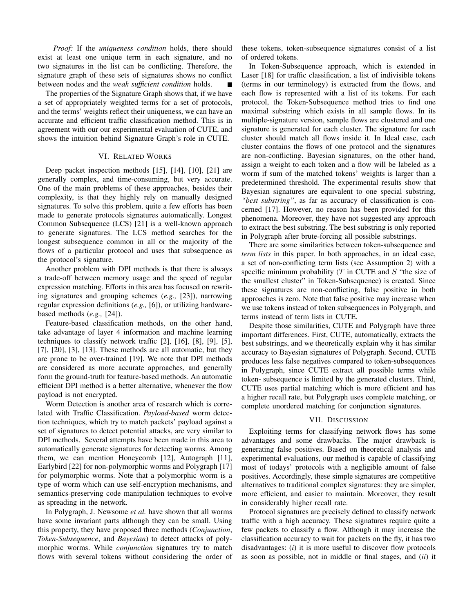*Proof:* If the *uniqueness condition* holds, there should exist at least one unique term in each signature, and no two signatures in the list can be conflicting. Therefore, the signature graph of these sets of signatures shows no conflict between nodes and the *weak sufficient condition* holds.

The properties of the Signature Graph shows that, if we have a set of appropriately weighted terms for a set of protocols, and the terms' weights reflect their uniqueness, we can have an accurate and efficient traffic classification method. This is in agreement with our our experimental evaluation of CUTE, and shows the intuition behind Signature Graph's role in CUTE.

## VI. RELATED WORKS

Deep packet inspection methods [15], [14], [10], [21] are generally complex, and time-consuming, but very accurate. One of the main problems of these approaches, besides their complexity, is that they highly rely on manually designed signatures. To solve this problem, quite a few efforts has been made to generate protocols signatures automatically. Longest Common Subsequence (LCS) [21] is a well-known approach to generate signatures. The LCS method searches for the longest subsequence common in all or the majority of the flows of a particular protocol and uses that subsequence as the protocol's signature.

Another problem with DPI methods is that there is always a trade-off between memory usage and the speed of regular expression matching. Efforts in this area has focused on rewriting signatures and grouping schemes (*e.g.,* [23]), narrowing regular expression definitions (*e.g.,* [6]), or utilizing hardwarebased methods (*e.g.,* [24]).

Feature-based classification methods, on the other hand, take advantage of layer 4 information and machine learning techniques to classify network traffic [2], [16], [8], [9], [5], [7], [20], [3], [13]. These methods are all automatic, but they are prone to be over-trained [19]. We note that DPI methods are considered as more accurate approaches, and generally form the ground-truth for feature-based methods. An automatic efficient DPI method is a better alternative, whenever the flow payload is not encrypted.

Worm Detection is another area of research which is correlated with Traffic Classification. *Payload-based* worm detection techniques, which try to match packets' payload against a set of signatures to detect potential attacks, are very similar to DPI methods. Several attempts have been made in this area to automatically generate signatures for detecting worms. Among them, we can mention Honeycomb [12], Autograph [11], Earlybird [22] for non-polymorphic worms and Polygraph [17] for polymorphic worms. Note that a polymorphic worm is a type of worm which can use self-encryption mechanisms, and semantics-preserving code manipulation techniques to evolve as spreading in the network.

In Polygraph, J. Newsome *et al.* have shown that all worms have some invariant parts although they can be small. Using this property, they have proposed three methods (*Conjunction*, *Token-Subsequence*, and *Bayesian*) to detect attacks of polymorphic worms. While *conjunction* signatures try to match flows with several tokens without considering the order of these tokens, token-subsequence signatures consist of a list of ordered tokens.

In Token-Subsequence approach, which is extended in Laser [18] for traffic classification, a list of indivisible tokens (terms in our terminology) is extracted from the flows, and each flow is represented with a list of its tokens. For each protocol, the Token-Subsequence method tries to find one maximal substring which exists in all sample flows. In its multiple-signature version, sample flows are clustered and one signature is generated for each cluster. The signature for each cluster should match all flows inside it. In Ideal case, each cluster contains the flows of one protocol and the signatures are non-conflicting. Bayesian signatures, on the other hand, assign a weight to each token and a flow will be labeled as a worm if sum of the matched tokens' weights is larger than a predetermined threshold. The experimental results show that Bayesian signatures are equivalent to one special substring, *"best substring"*, as far as accuracy of classification is concerned [17]. However, no reason has been provided for this phenomena. Moreover, they have not suggested any approach to extract the best substring. The best substring is only reported in Polygraph after brute-forcing all possible substrings.

There are some similarities between token-subsequence and *term lists* in this paper. In both approaches, in an ideal case, a set of non-conflicting term lists (see Assumption 2) with a specific minimum probability (*T* in CUTE and *S* "the size of the smallest cluster" in Token-Subsequence) is created. Since these signatures are non-conflicting, false positive in both approaches is zero. Note that false positive may increase when we use tokens instead of token subsequences in Polygraph, and terms instead of term lists in CUTE.

Despite those similarities, CUTE and Polygraph have three important differences. First, CUTE, automatically, extracts the best substrings, and we theoretically explain why it has similar accuracy to Bayesian signatures of Polygraph. Second, CUTE produces less false negatives compared to token-subsequences in Polygraph, since CUTE extract all possible terms while token- subsequence is limited by the generated clusters. Third, CUTE uses partial matching which is more efficient and has a higher recall rate, but Polygraph uses complete matching, or complete unordered matching for conjunction signatures.

### VII. DISCUSSION

Exploiting terms for classifying network flows has some advantages and some drawbacks. The major drawback is generating false positives. Based on theoretical analysis and experimental evaluations, our method is capable of classifying most of todays' protocols with a negligible amount of false positives. Accordingly, these simple signatures are competitive alternatives to traditional complex signatures: they are simpler, more efficient, and easier to maintain. Moreover, they result in considerably higher recall rate.

Protocol signatures are precisely defined to classify network traffic with a high accuracy. These signatures require quite a few packets to classify a flow. Although it may increase the classification accuracy to wait for packets on the fly, it has two disadvantages: (*i*) it is more useful to discover flow protocols as soon as possible, not in middle or final stages, and (*ii*) it